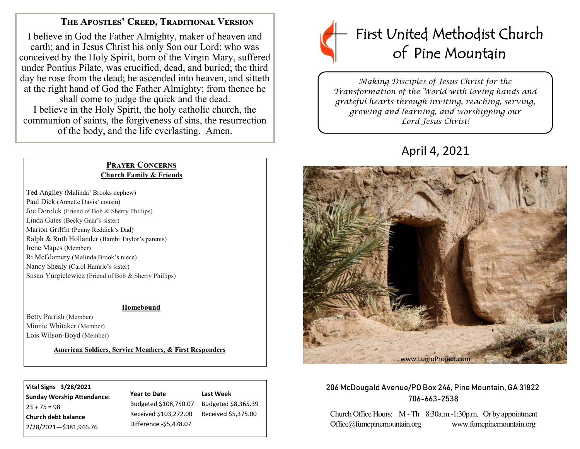## **The Apostles' Creed, Traditional Version**

I believe in God the Father Almighty, maker of heaven and earth; and in Jesus Christ his only Son our Lord: who was conceived by the Holy Spirit, born of the Virgin Mary, suffered under Pontius Pilate, was crucified, dead, and buried; the third day he rose from the dead; he ascended into heaven, and sitteth at the right hand of God the Father Almighty; from thence he shall come to judge the quick and the dead. I believe in the Holy Spirit, the holy catholic church, the communion of saints, the forgiveness of sins, the resurrection of the body, and the life everlasting. Amen.

#### **Prayer Concerns Church Family & Friends**

Ted Anglley (Malinda' Brooks nephew) Paul Dick (Annette Davis' cousin) Joe Dorolek (Friend of Bob & Sherry Phillips) Linda Gates (Becky Gaar's sister) Marion Griffin (Penny Reddick's Dad) Ralph & Ruth Hollander (Bambi Taylor's parents) Irene Mapes (Member) Ri McGlamery (Malinda Brook's niece) Nancy Shealy (Carol Hamric's sister) Susan Yurgielewicz (Friend of Bob & Sherry Phillips)

#### **Homebound**

Betty Parrish (Member) Minnie Whitaker (Member) Lois Wilson-Boyd (Member)

#### **American Soldiers, Service Members, & First Responders**

**Vital Signs 3/28/2021 Sunday Worship Attendance:**  $23 + 75 = 98$ **Church debt balance**  2/28/2021—\$381,946.76

## **Year to Date**  Budgeted \$108,750.07

Received \$103,272.00 Difference -\$5,478.07 Budgeted \$8,365.39 Received \$5,375.00

**Last Week**



*Making Disciples of Jesus Christ for the Transformation of the World with loving hands and grateful hearts through inviting, reaching, serving, growing and learning, and worshipping our Lord Jesus Christ!* 

# April 4, 2021



#### 206 McDougald Avenue/PO Box 246, Pine Mountain, GA 31822 706-663-2538

Church Office Hours: M -Th 8:30a.m.-1:30p.m. Or by appointment Office@fumcpinemountain.org www.fumcpinemountain.org